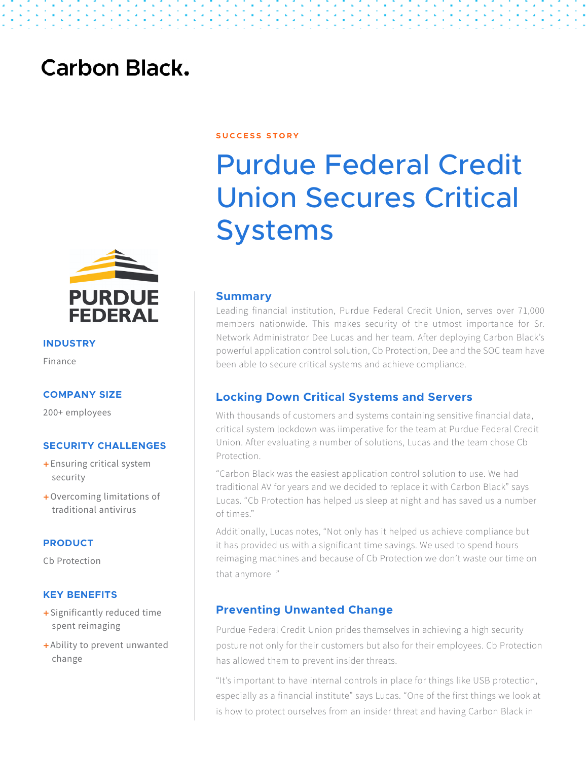## **Carbon Black.**



**INDUSTRY**

Finance

#### **COMPANY SIZE**

200+ employees

#### **SECURITY CHALLENGES**

- + Ensuring critical system security
- + Overcoming limitations of traditional antivirus

#### **PRODUCT**

Cb Protection

#### **KEY BENEFITS**

- + Significantly reduced time spent reimaging
- + Ability to prevent unwanted change

#### **S U C C E S S S T O R Y**

# Purdue Federal Credit Union Secures Critical Systems

#### **Summary**

Leading financial institution, Purdue Federal Credit Union, serves over 71,000 members nationwide. This makes security of the utmost importance for Sr. Network Administrator Dee Lucas and her team. After deploying Carbon Black's powerful application control solution, Cb Protection, Dee and the SOC team have been able to secure critical systems and achieve compliance.

#### **Locking Down Critical Systems and Servers**

With thousands of customers and systems containing sensitive financial data, critical system lockdown was iimperative for the team at Purdue Federal Credit Union. After evaluating a number of solutions, Lucas and the team chose Cb Protection.

"Carbon Black was the easiest application control solution to use. We had traditional AV for years and we decided to replace it with Carbon Black" says Lucas. "Cb Protection has helped us sleep at night and has saved us a number of times."

Additionally, Lucas notes, "Not only has it helped us achieve compliance but it has provided us with a significant time savings. We used to spend hours reimaging machines and because of Cb Protection we don't waste our time on that anymore "

### **Preventing Unwanted Change**

Purdue Federal Credit Union prides themselves in achieving a high security posture not only for their customers but also for their employees. Cb Protection has allowed them to prevent insider threats.

"It's important to have internal controls in place for things like USB protection, especially as a financial institute" says Lucas. "One of the first things we look at is how to protect ourselves from an insider threat and having Carbon Black in